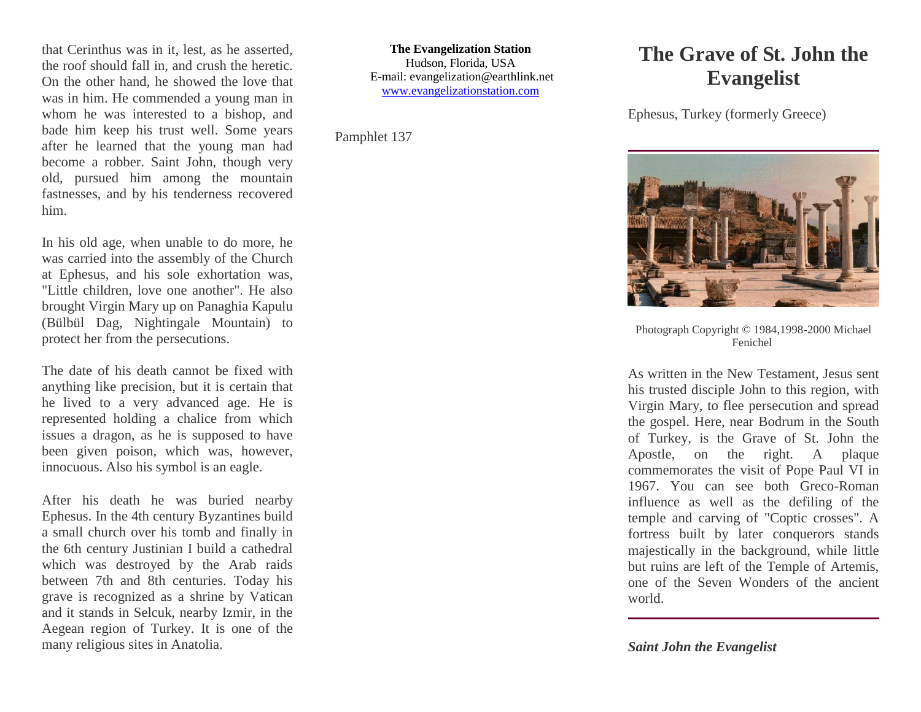that Cerinthus was in it, lest, as he asserted, the roof should fall in, and crush the heretic. On the other hand, he showed the love that was in him. He commended a young man in whom he was interested to a bishop, and bade him keep his trust well. Some years after he learned that the young man had become a robber. Saint John, though very old, pursued him among the mountain fastnesses, and by his tenderness recovered him.

In his old age, when unable to do more, he was carried into the assembly of the Church at Ephesus, and his sole exhortation was, "Little children, love one another". He also brought Virgin Mary up on Panaghia Kapulu (Bülbül Dag, Nightingale Mountain) to protect her from the persecutions.

The date of his death cannot be fixed with anything like precision, but it is certain that he lived to a very advanced age. He is represented holding a chalice from which issues a dragon, as he is supposed to have been given poison, which was, however, innocuous. Also his symbol is an eagle.

After his death he was buried nearby Ephesus. In the 4th century Byzantines build a small church over his tomb and finally in the 6th century Justinian I build a cathedral which was destroyed by the Arab raids between 7th and 8th centuries. Today his grave is recognized as a shrine by Vatican and it stands in Selcuk, nearby Izmir, in the Aegean region of Turkey. It is one of the many religious sites in Anatolia.

**The Evangelization Station** Hudson, Florida, USA E-mail: evangelization@earthlink.net [www.evangelizationstation.com](http://www.pjpiisoe.org/)

Pamphlet 137

## **The Grave of St. John the Evangelist**

Ephesus, Turkey (formerly Greece)



Photograph Copyright © 1984,1998-2000 Michael Fenichel

As written in the New Testament, Jesus sent his trusted disciple John to this region, with Virgin Mary, to flee persecution and spread the gospel. Here, near Bodrum in the South of Turkey, is the Grave of St. John the Apostle, on the right. A plaque commemorates the visit of Pope Paul VI in 1967. You can see both Greco-Roman influence as well as the defiling of the temple and carving of "Coptic crosses". A fortress built by later conquerors stands majestically in the background, while little but ruins are left of the Temple of Artemis, one of the Seven Wonders of the ancient world.

*Saint John the Evangelist*